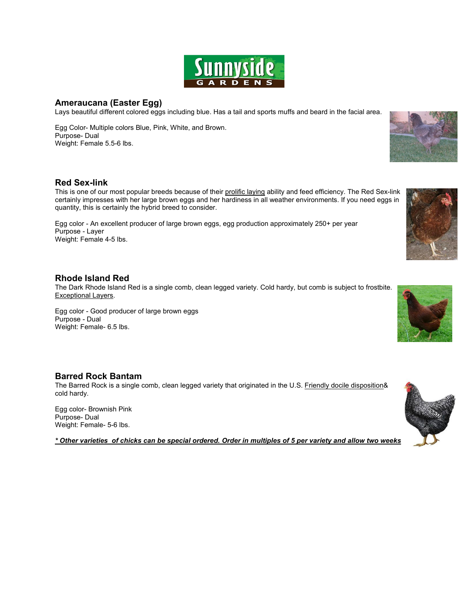

### **Ameraucana (Easter Egg)**

Lays beautiful different colored eggs including blue. Has a tail and sports muffs and beard in the facial area.

Egg Color- Multiple colors Blue, Pink, White, and Brown. Purpose- Dual Weight: Female 5.5-6 lbs.

#### **Red Sex-link**

This is one of our most popular breeds because of their prolific laying ability and feed efficiency. The Red Sex-link certainly impresses with her large brown eggs and her hardiness in all weather environments. If you need eggs in quantity, this is certainly the hybrid breed to consider.

Egg color - An excellent producer of large brown eggs, egg production approximately 250+ per year Purpose - Layer Weight: Female 4-5 lbs.

#### **Rhode Island Red**

The Dark Rhode Island Red is a single comb, clean legged variety. Cold hardy, but comb is subject to frostbite. Exceptional Layers.

Egg color - Good producer of large brown eggs Purpose - Dual Weight: Female- 6.5 lbs.

#### **Barred Rock Bantam**

The Barred Rock is a single comb, clean legged variety that originated in the U.S. Friendly docile disposition& cold hardy.

Egg color- Brownish Pink Purpose- Dual Weight: Female- 5-6 lbs.

*\* Other varieties of chicks can be special ordered. Order in multiples of 5 per variety and allow two weeks.*